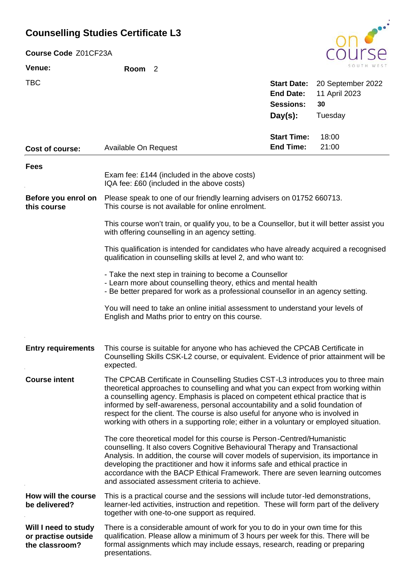## **Counselling Studies Certificate L3**

| Course Code Z01CF23A               |                                                                                                                                                                                                                                                                                                                                                                                                                                                                                                                       |                                        |                                    |  |
|------------------------------------|-----------------------------------------------------------------------------------------------------------------------------------------------------------------------------------------------------------------------------------------------------------------------------------------------------------------------------------------------------------------------------------------------------------------------------------------------------------------------------------------------------------------------|----------------------------------------|------------------------------------|--|
| Venue:                             | Room <sub>2</sub>                                                                                                                                                                                                                                                                                                                                                                                                                                                                                                     |                                        |                                    |  |
| <b>TBC</b>                         |                                                                                                                                                                                                                                                                                                                                                                                                                                                                                                                       | <b>Start Date:</b><br><b>End Date:</b> | 20 September 2022<br>11 April 2023 |  |
|                                    |                                                                                                                                                                                                                                                                                                                                                                                                                                                                                                                       | <b>Sessions:</b>                       | 30                                 |  |
|                                    |                                                                                                                                                                                                                                                                                                                                                                                                                                                                                                                       | $Day(s)$ :                             | Tuesday                            |  |
|                                    |                                                                                                                                                                                                                                                                                                                                                                                                                                                                                                                       | <b>Start Time:</b>                     | 18:00                              |  |
| Cost of course:                    | Available On Request                                                                                                                                                                                                                                                                                                                                                                                                                                                                                                  | <b>End Time:</b>                       | 21:00                              |  |
| <b>Fees</b>                        |                                                                                                                                                                                                                                                                                                                                                                                                                                                                                                                       |                                        |                                    |  |
|                                    | Exam fee: £144 (included in the above costs)<br>IQA fee: £60 (included in the above costs)                                                                                                                                                                                                                                                                                                                                                                                                                            |                                        |                                    |  |
| Before you enrol on<br>this course | Please speak to one of our friendly learning advisers on 01752 660713.<br>This course is not available for online enrolment.                                                                                                                                                                                                                                                                                                                                                                                          |                                        |                                    |  |
|                                    | This course won't train, or qualify you, to be a Counsellor, but it will better assist you<br>with offering counselling in an agency setting.                                                                                                                                                                                                                                                                                                                                                                         |                                        |                                    |  |
|                                    | This qualification is intended for candidates who have already acquired a recognised<br>qualification in counselling skills at level 2, and who want to:                                                                                                                                                                                                                                                                                                                                                              |                                        |                                    |  |
|                                    | - Take the next step in training to become a Counsellor<br>- Learn more about counselling theory, ethics and mental health<br>- Be better prepared for work as a professional counsellor in an agency setting.                                                                                                                                                                                                                                                                                                        |                                        |                                    |  |
|                                    | You will need to take an online initial assessment to understand your levels of<br>English and Maths prior to entry on this course.                                                                                                                                                                                                                                                                                                                                                                                   |                                        |                                    |  |
| <b>Entry requirements</b>          | This course is suitable for anyone who has achieved the CPCAB Certificate in<br>Counselling Skills CSK-L2 course, or equivalent. Evidence of prior attainment will be<br>expected.                                                                                                                                                                                                                                                                                                                                    |                                        |                                    |  |
| <b>Course intent</b>               | The CPCAB Certificate in Counselling Studies CST-L3 introduces you to three main<br>theoretical approaches to counselling and what you can expect from working within<br>a counselling agency. Emphasis is placed on competent ethical practice that is<br>informed by self-awareness, personal accountability and a solid foundation of<br>respect for the client. The course is also useful for anyone who is involved in<br>working with others in a supporting role; either in a voluntary or employed situation. |                                        |                                    |  |
|                                    | The core theoretical model for this course is Person-Centred/Humanistic<br>counselling. It also covers Cognitive Behavioural Therapy and Transactional<br>Analysis. In addition, the course will cover models of supervision, its importance in<br>developing the practitioner and how it informs safe and ethical practice in<br>accordance with the BACP Ethical Framework. There are seven learning outcomes                                                                                                       |                                        |                                    |  |

This is a practical course and the sessions will include tutor-led demonstrations, learner-led activities, instruction and repetition. These will form part of the delivery together with one-to-one support as required. **How will the course be delivered?**

and associated assessment criteria to achieve.

## There is a considerable amount of work for you to do in your own time for this qualification. Please allow a minimum of 3 hours per week for this. There will be formal assignments which may include essays, research, reading or preparing presentations. **Will I need to study or practise outside the classroom?**